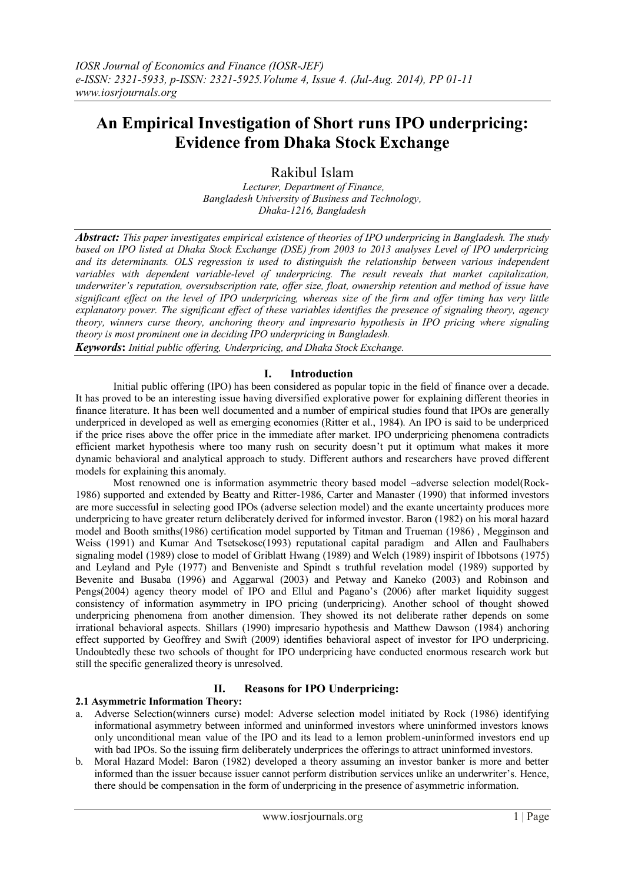# **An Empirical Investigation of Short runs IPO underpricing: Evidence from Dhaka Stock Exchange**

Rakibul Islam

*Lecturer, Department of Finance, Bangladesh University of Business and Technology, Dhaka-1216, Bangladesh*

*Abstract: This paper investigates empirical existence of theories of IPO underpricing in Bangladesh. The study based on IPO listed at Dhaka Stock Exchange (DSE) from 2003 to 2013 analyses Level of IPO underpricing and its determinants. OLS regression is used to distinguish the relationship between various independent variables with dependent variable-level of underpricing. The result reveals that market capitalization, underwriter's reputation, oversubscription rate, offer size, float, ownership retention and method of issue have significant effect on the level of IPO underpricing, whereas size of the firm and offer timing has very little explanatory power. The significant effect of these variables identifies the presence of signaling theory, agency theory, winners curse theory, anchoring theory and impresario hypothesis in IPO pricing where signaling theory is most prominent one in deciding IPO underpricing in Bangladesh.*

*Keywords***:** *Initial public offering, Underpricing, and Dhaka Stock Exchange.*

### **I. Introduction**

Initial public offering (IPO) has been considered as popular topic in the field of finance over a decade. It has proved to be an interesting issue having diversified explorative power for explaining different theories in finance literature. It has been well documented and a number of empirical studies found that IPOs are generally underpriced in developed as well as emerging economies (Ritter et al., 1984). An IPO is said to be underpriced if the price rises above the offer price in the immediate after market. IPO underpricing phenomena contradicts efficient market hypothesis where too many rush on security doesn't put it optimum what makes it more dynamic behavioral and analytical approach to study. Different authors and researchers have proved different models for explaining this anomaly.

Most renowned one is information asymmetric theory based model –adverse selection model(Rock-1986) supported and extended by Beatty and Ritter-1986, Carter and Manaster (1990) that informed investors are more successful in selecting good IPOs (adverse selection model) and the exante uncertainty produces more underpricing to have greater return deliberately derived for informed investor. Baron (1982) on his moral hazard model and Booth smiths(1986) certification model supported by Titman and Trueman (1986) , Megginson and Weiss (1991) and Kumar And Tsetsekosc(1993) reputational capital paradigm and Allen and Faulhabers signaling model (1989) close to model of Griblatt Hwang (1989) and Welch (1989) inspirit of Ibbotsons (1975) and Leyland and Pyle (1977) and Benveniste and Spindt s truthful revelation model (1989) supported by Bevenite and Busaba (1996) and Aggarwal (2003) and Petway and Kaneko (2003) and Robinson and Pengs(2004) agency theory model of IPO and Ellul and Pagano's (2006) after market liquidity suggest consistency of information asymmetry in IPO pricing (underpricing). Another school of thought showed underpricing phenomena from another dimension. They showed its not deliberate rather depends on some irrational behavioral aspects. Shillars (1990) impresario hypothesis and Matthew Dawson (1984) anchoring effect supported by Geoffrey and Swift (2009) identifies behavioral aspect of investor for IPO underpricing. Undoubtedly these two schools of thought for IPO underpricing have conducted enormous research work but still the specific generalized theory is unresolved.

### **II. Reasons for IPO Underpricing:**

### **2.1 Asymmetric Information Theory:**

- a. Adverse Selection(winners curse) model: Adverse selection model initiated by Rock (1986) identifying informational asymmetry between informed and uninformed investors where uninformed investors knows only unconditional mean value of the IPO and its lead to a lemon problem-uninformed investors end up with bad IPOs. So the issuing firm deliberately underprices the offerings to attract uninformed investors.
- b. Moral Hazard Model: Baron (1982) developed a theory assuming an investor banker is more and better informed than the issuer because issuer cannot perform distribution services unlike an underwriter's. Hence, there should be compensation in the form of underpricing in the presence of asymmetric information.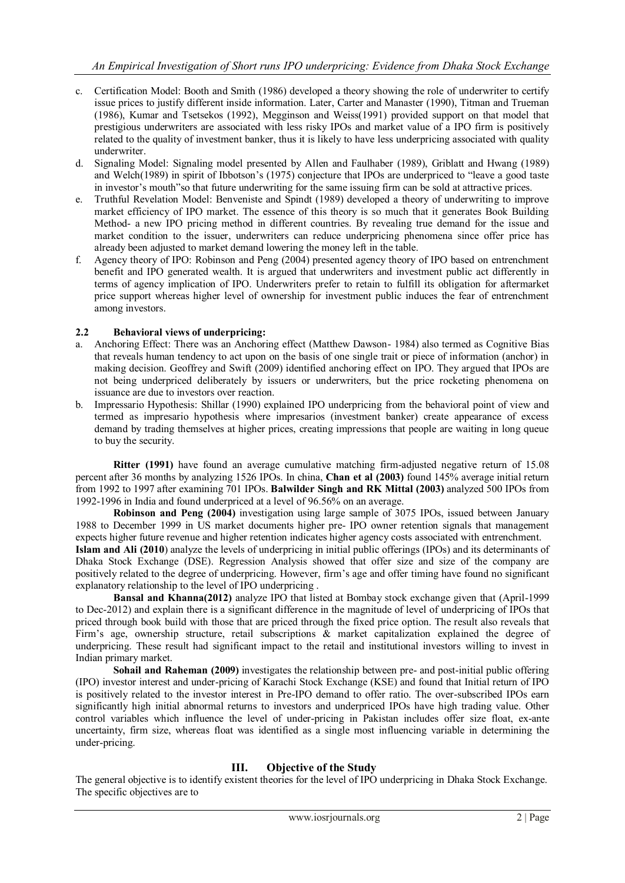- c. Certification Model: Booth and Smith (1986) developed a theory showing the role of underwriter to certify issue prices to justify different inside information. Later, Carter and Manaster (1990), Titman and Trueman (1986), Kumar and Tsetsekos (1992), Megginson and Weiss(1991) provided support on that model that prestigious underwriters are associated with less risky IPOs and market value of a IPO firm is positively related to the quality of investment banker, thus it is likely to have less underpricing associated with quality underwriter.
- d. Signaling Model: Signaling model presented by Allen and Faulhaber (1989), Griblatt and Hwang (1989) and Welch(1989) in spirit of Ibbotson's (1975) conjecture that IPOs are underpriced to "leave a good taste in investor's mouth"so that future underwriting for the same issuing firm can be sold at attractive prices.
- e. Truthful Revelation Model: Benveniste and Spindt (1989) developed a theory of underwriting to improve market efficiency of IPO market. The essence of this theory is so much that it generates Book Building Method- a new IPO pricing method in different countries. By revealing true demand for the issue and market condition to the issuer, underwriters can reduce underpricing phenomena since offer price has already been adjusted to market demand lowering the money left in the table.
- f. Agency theory of IPO: Robinson and Peng (2004) presented agency theory of IPO based on entrenchment benefit and IPO generated wealth. It is argued that underwriters and investment public act differently in terms of agency implication of IPO. Underwriters prefer to retain to fulfill its obligation for aftermarket price support whereas higher level of ownership for investment public induces the fear of entrenchment among investors.

### **2.2 Behavioral views of underpricing:**

- a. Anchoring Effect: There was an Anchoring effect (Matthew Dawson- 1984) also termed as Cognitive Bias that reveals human tendency to act upon on the basis of one single trait or piece of information (anchor) in making decision. Geoffrey and Swift (2009) identified anchoring effect on IPO. They argued that IPOs are not being underpriced deliberately by issuers or underwriters, but the price rocketing phenomena on issuance are due to investors over reaction.
- b. Impressario Hypothesis: Shillar (1990) explained IPO underpricing from the behavioral point of view and termed as impresario hypothesis where impresarios (investment banker) create appearance of excess demand by trading themselves at higher prices, creating impressions that people are waiting in long queue to buy the security.

**Ritter (1991)** have found an average cumulative matching firm-adjusted negative return of 15.08 percent after 36 months by analyzing 1526 IPOs. In china, **Chan et al (2003)** found 145% average initial return from 1992 to 1997 after examining 701 IPOs. **Balwilder Singh and RK Mittal (2003)** analyzed 500 IPOs from 1992-1996 in India and found underpriced at a level of 96.56% on an average.

**Robinson and Peng (2004)** investigation using large sample of 3075 IPOs, issued between January 1988 to December 1999 in US market documents higher pre- IPO owner retention signals that management expects higher future revenue and higher retention indicates higher agency costs associated with entrenchment. **Islam and Ali (2010**) analyze the levels of underpricing in initial public offerings (IPOs) and its determinants of

Dhaka Stock Exchange (DSE). Regression Analysis showed that offer size and size of the company are positively related to the degree of underpricing. However, firm's age and offer timing have found no significant explanatory relationship to the level of IPO underpricing .

**Bansal and Khanna(2012)** analyze IPO that listed at Bombay stock exchange given that (April-1999 to Dec-2012) and explain there is a significant difference in the magnitude of level of underpricing of IPOs that priced through book build with those that are priced through the fixed price option. The result also reveals that Firm's age, ownership structure, retail subscriptions & market capitalization explained the degree of underpricing. These result had significant impact to the retail and institutional investors willing to invest in Indian primary market.

**Sohail and Raheman (2009)** investigates the relationship between pre- and post-initial public offering (IPO) investor interest and under-pricing of Karachi Stock Exchange (KSE) and found that Initial return of IPO is positively related to the investor interest in Pre-IPO demand to offer ratio. The over-subscribed IPOs earn significantly high initial abnormal returns to investors and underpriced IPOs have high trading value. Other control variables which influence the level of under-pricing in Pakistan includes offer size float, ex-ante uncertainty, firm size, whereas float was identified as a single most influencing variable in determining the under-pricing.

### **III. Objective of the Study**

The general objective is to identify existent theories for the level of IPO underpricing in Dhaka Stock Exchange. The specific objectives are to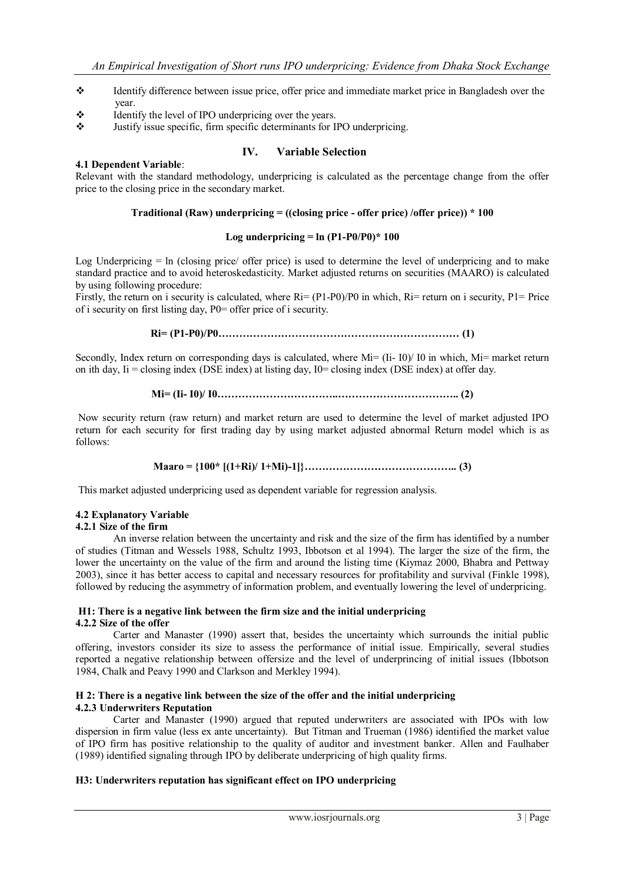- Identify difference between issue price, offer price and immediate market price in Bangladesh over the year.
- $\triangle$  Identify the level of IPO underpricing over the years.
- Justify issue specific, firm specific determinants for IPO underpricing.

#### **IV. Variable Selection 4.1 Dependent Variable**:

Relevant with the standard methodology, underpricing is calculated as the percentage change from the offer price to the closing price in the secondary market.

### **Traditional (Raw) underpricing = ((closing price - offer price) /offer price)) \* 100**

#### Log underpricing  $=$  ln  $(P1-P0/P0)*100$

Log Underpricing = ln (closing price/ offer price) is used to determine the level of underpricing and to make standard practice and to avoid heteroskedasticity. Market adjusted returns on securities (MAARO) is calculated by using following procedure:

Firstly, the return on i security is calculated, where  $Ri=(P1-P0)/P0$  in which,  $Ri=$  return on i security,  $P1=$  Price of i security on first listing day, P0= offer price of i security.

**Ri= (P1-P0)/P0…………………………………………………………… (1)**

Secondly, Index return on corresponding days is calculated, where Mi= (Ii- I0)/ I0 in which, Mi= market return on ith day,  $I = closing$  index (DSE index) at listing day,  $I0 = closing$  index (DSE index) at offer day.

$$
Mi = (I - I0) / I0 \dots (100)
$$

Now security return (raw return) and market return are used to determine the level of market adjusted IPO return for each security for first trading day by using market adjusted abnormal Return model which is as follows:

### **Maaro = {100\* [(1+Ri)/ 1+Mi)-1]}…………………………………….. (3)**

This market adjusted underpricing used as dependent variable for regression analysis.

### **4.2 Explanatory Variable**

### **4.2.1 Size of the firm**

An inverse relation between the uncertainty and risk and the size of the firm has identified by a number of studies (Titman and Wessels 1988, Schultz 1993, Ibbotson et al 1994). The larger the size of the firm, the lower the uncertainty on the value of the firm and around the listing time (Kiymaz 2000, Bhabra and Pettway 2003), since it has better access to capital and necessary resources for profitability and survival (Finkle 1998), followed by reducing the asymmetry of information problem, and eventually lowering the level of underpricing.

#### **H1: There is a negative link between the firm size and the initial underpricing 4.2.2 Size of the offer**

Carter and Manaster (1990) assert that, besides the uncertainty which surrounds the initial public offering, investors consider its size to assess the performance of initial issue. Empirically, several studies reported a negative relationship between offersize and the level of underprincing of initial issues (Ibbotson 1984, Chalk and Peavy 1990 and Clarkson and Merkley 1994).

### **H 2: There is a negative link between the size of the offer and the initial underpricing 4.2.3 Underwriters Reputation**

Carter and Manaster (1990) argued that reputed underwriters are associated with IPOs with low dispersion in firm value (less ex ante uncertainty). But Titman and Trueman (1986) identified the market value of IPO firm has positive relationship to the quality of auditor and investment banker. Allen and Faulhaber (1989) identified signaling through IPO by deliberate underpricing of high quality firms.

### **H3: Underwriters reputation has significant effect on IPO underpricing**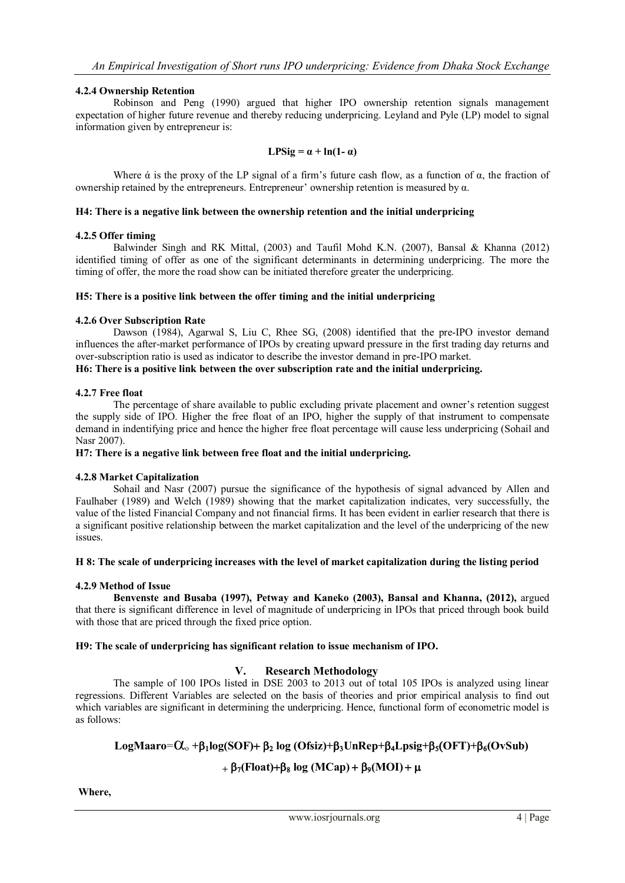### **4.2.4 Ownership Retention**

Robinson and Peng (1990) argued that higher IPO ownership retention signals management expectation of higher future revenue and thereby reducing underpricing. Leyland and Pyle (LP) model to signal information given by entrepreneur is:

$$
LPSig = \alpha + \ln(1 - \alpha)
$$

Where  $\alpha$  is the proxy of the LP signal of a firm's future cash flow, as a function of  $\alpha$ , the fraction of ownership retained by the entrepreneurs. Entrepreneur' ownership retention is measured by α.

#### **H4: There is a negative link between the ownership retention and the initial underpricing**

### **4.2.5 Offer timing**

Balwinder Singh and RK Mittal, (2003) and Taufil Mohd K.N. (2007), Bansal & Khanna (2012) identified timing of offer as one of the significant determinants in determining underpricing. The more the timing of offer, the more the road show can be initiated therefore greater the underpricing.

### **H5: There is a positive link between the offer timing and the initial underpricing**

### **4.2.6 Over Subscription Rate**

Dawson (1984), Agarwal S, Liu C, Rhee SG, (2008) identified that the pre-IPO investor demand influences the after-market performance of IPOs by creating upward pressure in the first trading day returns and over-subscription ratio is used as indicator to describe the investor demand in pre-IPO market. **H6: There is a positive link between the over subscription rate and the initial underpricing.**

### **4.2.7 Free float**

The percentage of share available to public excluding private placement and owner's retention suggest the supply side of IPO. Higher the free float of an IPO, higher the supply of that instrument to compensate demand in indentifying price and hence the higher free float percentage will cause less underpricing (Sohail and Nasr 2007).

#### **H7: There is a negative link between free float and the initial underpricing.**

### **4.2.8 Market Capitalization**

Sohail and Nasr (2007) pursue the significance of the hypothesis of signal advanced by Allen and Faulhaber (1989) and Welch (1989) showing that the market capitalization indicates, very successfully, the value of the listed Financial Company and not financial firms. It has been evident in earlier research that there is a significant positive relationship between the market capitalization and the level of the underpricing of the new issues.

### **H 8: The scale of underpricing increases with the level of market capitalization during the listing period**

### **4.2.9 Method of Issue**

**Benvenste and Busaba (1997), Petway and Kaneko (2003), Bansal and Khanna, (2012),** argued that there is significant difference in level of magnitude of underpricing in IPOs that priced through book build with those that are priced through the fixed price option.

### **H9: The scale of underpricing has significant relation to issue mechanism of IPO.**

### **V. Research Methodology**

The sample of 100 IPOs listed in DSE 2003 to 2013 out of total 105 IPOs is analyzed using linear regressions. Different Variables are selected on the basis of theories and prior empirical analysis to find out which variables are significant in determining the underpricing. Hence, functional form of econometric model is as follows:

# $LogMaxo = \alpha_0 + \beta_1 log(SOF) + \beta_2 log(Ofsiz) + \beta_3 UnRep + \beta_4 Log + \beta_5 (OFF) + \beta_6 (OvSub)$

# $+ \beta_7$ (Float)+ $\beta_8$  log (MCap) +  $\beta_9$ (MOI) +  $\mu$

**Where,**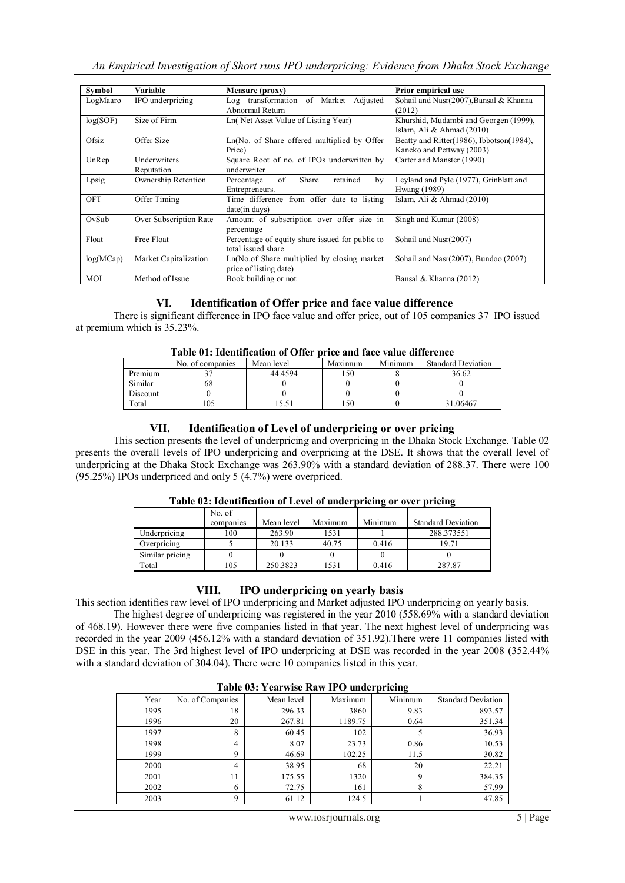| Symbol    | Variable               | <b>Measure (proxy)</b>                          | <b>Prior empirical use</b>                 |
|-----------|------------------------|-------------------------------------------------|--------------------------------------------|
| LogMaaro  | IPO underpricing       | Log transformation of Market Adjusted           | Sohail and Nasr(2007), Bansal & Khanna     |
|           |                        | Abnormal Return                                 | (2012)                                     |
| log(SOF)  | Size of Firm           | Ln(Net Asset Value of Listing Year)             | Khurshid, Mudambi and Georgen (1999),      |
|           |                        |                                                 | Islam, Ali & Ahmad $(2010)$                |
| Ofsiz.    | Offer Size             | Ln(No. of Share offered multiplied by Offer     | Beatty and Ritter (1986), Ibbotson (1984), |
|           |                        | Price)                                          | Kaneko and Pettway (2003)                  |
| UnRep     | Underwriters           | Square Root of no. of IPOs underwritten by      | Carter and Manster (1990)                  |
|           | Reputation             | underwriter                                     |                                            |
| Lpsig     | Ownership Retention    | of<br>Share<br>retained<br>Percentage<br>by     | Leyland and Pyle (1977), Grinblatt and     |
|           |                        | Entrepreneurs.                                  | Hwang (1989)                               |
| OFT       | Offer Timing           | Time difference from offer date to listing      | Islam, Ali & Ahmad $(2010)$                |
|           |                        | date(in days)                                   |                                            |
| OvSub     | Over Subscription Rate | Amount of subscription over offer size in       | Singh and Kumar (2008)                     |
|           |                        | percentage                                      |                                            |
| Float     | Free Float             | Percentage of equity share issued for public to | Sohail and Nasr(2007)                      |
|           |                        | total issued share                              |                                            |
| log(MCap) | Market Capitalization  | Ln(No.of Share multiplied by closing market     | Sohail and Nasr(2007), Bundoo (2007)       |
|           |                        | price of listing date)                          |                                            |
| MOI       | Method of Issue        | Book building or not                            | Bansal & Khanna (2012)                     |

### **VI. Identification of Offer price and face value difference**

There is significant difference in IPO face value and offer price, out of 105 companies 37 IPO issued at premium which is 35.23%.

|          |                  | Table VI: Identification of Offer price and face value difference |         |         |                           |
|----------|------------------|-------------------------------------------------------------------|---------|---------|---------------------------|
|          | No. of companies | Mean level                                                        | Maximum | Minimum | <b>Standard Deviation</b> |
| Premium  |                  | 44 4 5 9 4                                                        | 150     |         | 36.62                     |
| Similar  | oο               |                                                                   |         |         |                           |
| Discount |                  |                                                                   |         |         |                           |
| Total    | 105              | 5.51                                                              | 150     |         | 31.06467                  |

| Table 01: Identification of Offer price and face value difference |  |
|-------------------------------------------------------------------|--|
|-------------------------------------------------------------------|--|

### **VII. Identification of Level of underpricing or over pricing**

This section presents the level of underpricing and overpricing in the Dhaka Stock Exchange. Table 02 presents the overall levels of IPO underpricing and overpricing at the DSE. It shows that the overall level of underpricing at the Dhaka Stock Exchange was 263.90% with a standard deviation of 288.37. There were 100 (95.25%) IPOs underpriced and only 5 (4.7%) were overpriced.

|                 | No. of    |            |         |         |                           |
|-----------------|-----------|------------|---------|---------|---------------------------|
|                 | companies | Mean level | Maximum | Minimum | <b>Standard Deviation</b> |
| Underpricing    | 100       | 263.90     | 1531    |         | 288.373551                |
| Overpricing     |           | 20.133     | 40.75   | 0.416   | 19.71                     |
| Similar pricing |           |            |         |         |                           |
| Total           | 105       | 250.3823   | 1531    | 0.416   | 287.87                    |

### **Table 02: Identification of Level of underpricing or over pricing**

### **VIII. IPO underpricing on yearly basis**

This section identifies raw level of IPO underpricing and Market adjusted IPO underpricing on yearly basis.

The highest degree of underpricing was registered in the year 2010 (558.69% with a standard deviation of 468.19). However there were five companies listed in that year. The next highest level of underpricing was recorded in the year 2009 (456.12% with a standard deviation of 351.92).There were 11 companies listed with DSE in this year. The 3rd highest level of IPO underpricing at DSE was recorded in the year 2008 (352.44% with a standard deviation of 304.04). There were 10 companies listed in this year.

|      | Table vs. I can wise is a well to unucle pricing |            |         |         |                           |  |  |
|------|--------------------------------------------------|------------|---------|---------|---------------------------|--|--|
| Year | No. of Companies                                 | Mean level | Maximum | Minimum | <b>Standard Deviation</b> |  |  |
| 1995 | 18                                               | 296.33     | 3860    | 9.83    | 893.57                    |  |  |
| 1996 | 20                                               | 267.81     | 1189.75 | 0.64    | 351.34                    |  |  |
| 1997 | 8                                                | 60.45      | 102     |         | 36.93                     |  |  |
| 1998 | 4                                                | 8.07       | 23.73   | 0.86    | 10.53                     |  |  |
| 1999 | Q                                                | 46.69      | 102.25  | 11.5    | 30.82                     |  |  |
| 2000 | 4                                                | 38.95      | 68      | 20      | 22.21                     |  |  |
| 2001 | 11                                               | 175.55     | 1320    | 9       | 384.35                    |  |  |
| 2002 | 6                                                | 72.75      | 161     | 8       | 57.99                     |  |  |
| 2003 |                                                  | 61.12      | 124.5   |         | 47.85                     |  |  |

### **Table 03: Yearwise Raw IPO underpricing**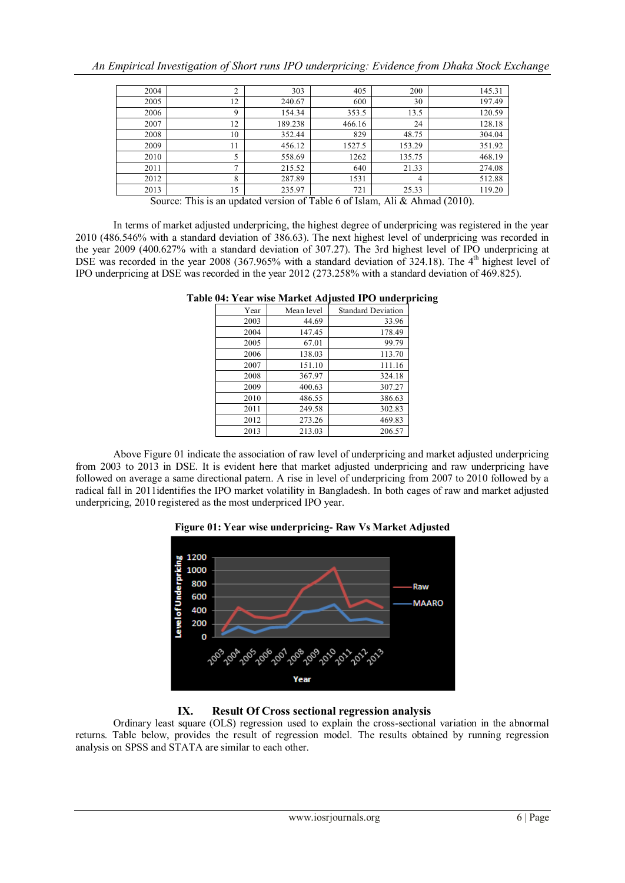| 2004 |    | 303     | 405    | 200    | 145.31 |
|------|----|---------|--------|--------|--------|
| 2005 | 12 | 240.67  | 600    | 30     | 197.49 |
| 2006 | Q  | 154.34  | 353.5  | 13.5   | 120.59 |
| 2007 | 12 | 189.238 | 466.16 | 24     | 128.18 |
| 2008 | 10 | 352.44  | 829    | 48.75  | 304.04 |
| 2009 | 11 | 456.12  | 1527.5 | 153.29 | 351.92 |
| 2010 |    | 558.69  | 1262   | 135.75 | 468.19 |
| 2011 | ∍  | 215.52  | 640    | 21.33  | 274.08 |
| 2012 | 8  | 287.89  | 1531   | 4      | 512.88 |
| 2013 | 15 | 235.97  | 721    | 25.33  | 119.20 |

Source: This is an updated version of Table 6 of Islam, Ali & Ahmad (2010).

In terms of market adjusted underpricing, the highest degree of underpricing was registered in the year 2010 (486.546% with a standard deviation of 386.63). The next highest level of underpricing was recorded in the year 2009 (400.627% with a standard deviation of 307.27). The 3rd highest level of IPO underpricing at DSE was recorded in the year 2008 (367.965% with a standard deviation of 324.18). The  $4<sup>th</sup>$  highest level of IPO underpricing at DSE was recorded in the year 2012 (273.258% with a standard deviation of 469.825).

| Year | Mean level | <b>Standard Deviation</b> |
|------|------------|---------------------------|
| 2003 | 44.69      | 33.96                     |
| 2004 | 147.45     | 178.49                    |
| 2005 | 67.01      | 99.79                     |
| 2006 | 138.03     | 113.70                    |
| 2007 | 151.10     | 111.16                    |
| 2008 | 367.97     | 324.18                    |
| 2009 | 400.63     | 307.27                    |
| 2010 | 486.55     | 386.63                    |
| 2011 | 249.58     | 302.83                    |
| 2012 | 273.26     | 469.83                    |
| 2013 | 213.03     | 206.57                    |

**Table 04: Year wise Market Adjusted IPO underpricing**

Above Figure 01 indicate the association of raw level of underpricing and market adjusted underpricing from 2003 to 2013 in DSE. It is evident here that market adjusted underpricing and raw underpricing have followed on average a same directional patern. A rise in level of underpricing from 2007 to 2010 followed by a radical fall in 2011identifies the IPO market volatility in Bangladesh. In both cages of raw and market adjusted underpricing, 2010 registered as the most underpriced IPO year.



**Figure 01: Year wise underpricing- Raw Vs Market Adjusted**

### **IX. Result Of Cross sectional regression analysis**

Ordinary least square (OLS) regression used to explain the cross-sectional variation in the abnormal returns. Table below, provides the result of regression model. The results obtained by running regression analysis on SPSS and STATA are similar to each other.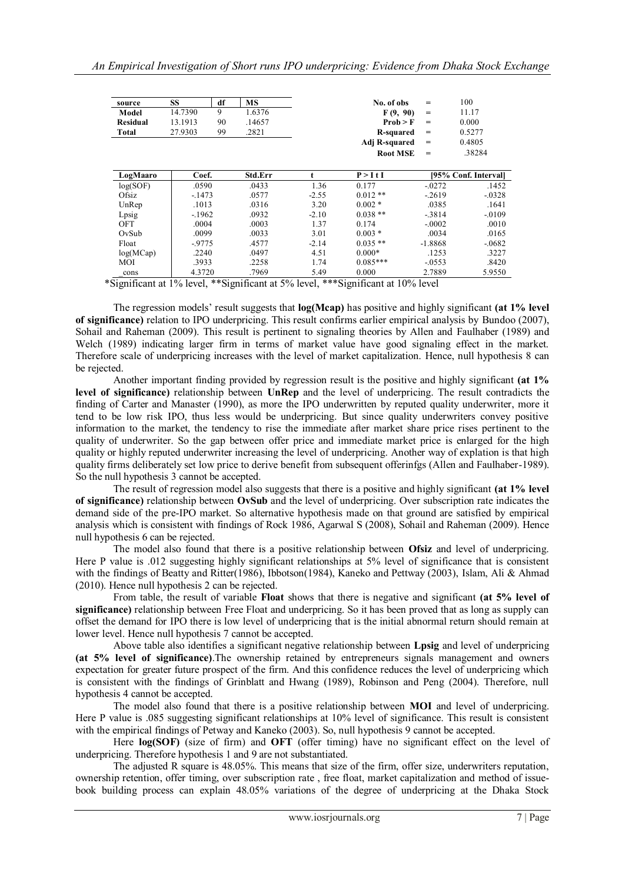| source          | <b>SS</b> | df | <b>MS</b> |         | No. of obs      | $=$       | 100                  |
|-----------------|-----------|----|-----------|---------|-----------------|-----------|----------------------|
| Model           | 14.7390   | 9  | 1.6376    |         | F(9, 90)        | $=$       | 11.17                |
| <b>Residual</b> | 13.1913   | 90 | .14657    |         | Prob > F        | $=$       | 0.000                |
| Total           | 27.9303   | 99 | .2821     |         | R-squared       | $=$       | 0.5277               |
|                 |           |    |           |         | Adj R-squared   | $=$       | 0.4805               |
|                 |           |    |           |         | <b>Root MSE</b> | $=$       | .38284               |
|                 |           |    |           |         |                 |           |                      |
| LogMaaro        | Coef.     |    | Std.Err   | t       | P > I t I       |           | [95% Conf. Interval] |
| log(SOF)        | .0590     |    | .0433     | 1.36    | 0.177           | $-0272$   | .1452                |
| Ofsiz           | $-1473$   |    | .0577     | $-2.55$ | $0.012**$       | $-2619$   | $-0.0328$            |
| UnRep           | .1013     |    | .0316     | 3.20    | $0.002*$        | .0385     | .1641                |
| Lpsig           | $-1962$   |    | .0932     | $-2.10$ | $0.038**$       | $-3814$   | $-0.0109$            |
| OFT             | .0004     |    | .0003     | 1.37    | 0.174           | $-.0002$  | .0010                |
| OvSub           | .0099     |    | .0033     | 3.01    | $0.003*$        | .0034     | .0165                |
| Float           | $-9775$   |    | .4577     | $-2.14$ | $0.035**$       | $-1.8868$ | $-0682$              |
| log(MCap)       | .2240     |    | .0497     | 4.51    | $0.000*$        | .1253     | .3227                |
| MOI             | .3933     |    | .2258     | 1.74    | $0.085***$      | $-0.0553$ | .8420                |
| cons            | 4.3720    |    | .7969     | 5.49    | 0.000           | 2.7889    | 5.9550               |

\*Significant at 1% level, \*\*Significant at 5% level, \*\*\*Significant at 10% level

The regression models' result suggests that **log(Mcap)** has positive and highly significant **(at 1% level of significance)** relation to IPO underpricing. This result confirms earlier empirical analysis by Bundoo (2007), Sohail and Raheman (2009). This result is pertinent to signaling theories by Allen and Faulhaber (1989) and Welch (1989) indicating larger firm in terms of market value have good signaling effect in the market. Therefore scale of underpricing increases with the level of market capitalization. Hence, null hypothesis 8 can be rejected.

Another important finding provided by regression result is the positive and highly significant **(at 1% level of significance)** relationship between **UnRep** and the level of underpricing. The result contradicts the finding of Carter and Manaster (1990), as more the IPO underwritten by reputed quality underwriter, more it tend to be low risk IPO, thus less would be underpricing. But since quality underwriters convey positive information to the market, the tendency to rise the immediate after market share price rises pertinent to the quality of underwriter. So the gap between offer price and immediate market price is enlarged for the high quality or highly reputed underwriter increasing the level of underpricing. Another way of explation is that high quality firms deliberately set low price to derive benefit from subsequent offerinfgs (Allen and Faulhaber-1989). So the null hypothesis 3 cannot be accepted.

The result of regression model also suggests that there is a positive and highly significant **(at 1% level of significance)** relationship between **OvSub** and the level of underpricing. Over subscription rate indicates the demand side of the pre-IPO market. So alternative hypothesis made on that ground are satisfied by empirical analysis which is consistent with findings of Rock 1986, Agarwal S (2008), Sohail and Raheman (2009). Hence null hypothesis 6 can be rejected.

The model also found that there is a positive relationship between **Ofsiz** and level of underpricing. Here P value is .012 suggesting highly significant relationships at 5% level of significance that is consistent with the findings of Beatty and Ritter(1986), Ibbotson(1984), Kaneko and Pettway (2003), Islam, Ali & Ahmad (2010). Hence null hypothesis 2 can be rejected.

From table, the result of variable **Float** shows that there is negative and significant **(at 5% level of significance)** relationship between Free Float and underpricing. So it has been proved that as long as supply can offset the demand for IPO there is low level of underpricing that is the initial abnormal return should remain at lower level. Hence null hypothesis 7 cannot be accepted.

Above table also identifies a significant negative relationship between **Lpsig** and level of underpricing **(at 5% level of significance)**.The ownership retained by entrepreneurs signals management and owners expectation for greater future prospect of the firm. And this confidence reduces the level of underpricing which is consistent with the findings of Grinblatt and Hwang (1989), Robinson and Peng (2004). Therefore, null hypothesis 4 cannot be accepted.

The model also found that there is a positive relationship between **MOI** and level of underpricing. Here P value is .085 suggesting significant relationships at 10% level of significance. This result is consistent with the empirical findings of Petway and Kaneko (2003). So, null hypothesis 9 cannot be accepted.

Here **log(SOF)** (size of firm) and **OFT** (offer timing) have no significant effect on the level of underpricing. Therefore hypothesis 1 and 9 are not substantiated.

The adjusted R square is 48.05%. This means that size of the firm, offer size, underwriters reputation, ownership retention, offer timing, over subscription rate , free float, market capitalization and method of issuebook building process can explain 48.05% variations of the degree of underpricing at the Dhaka Stock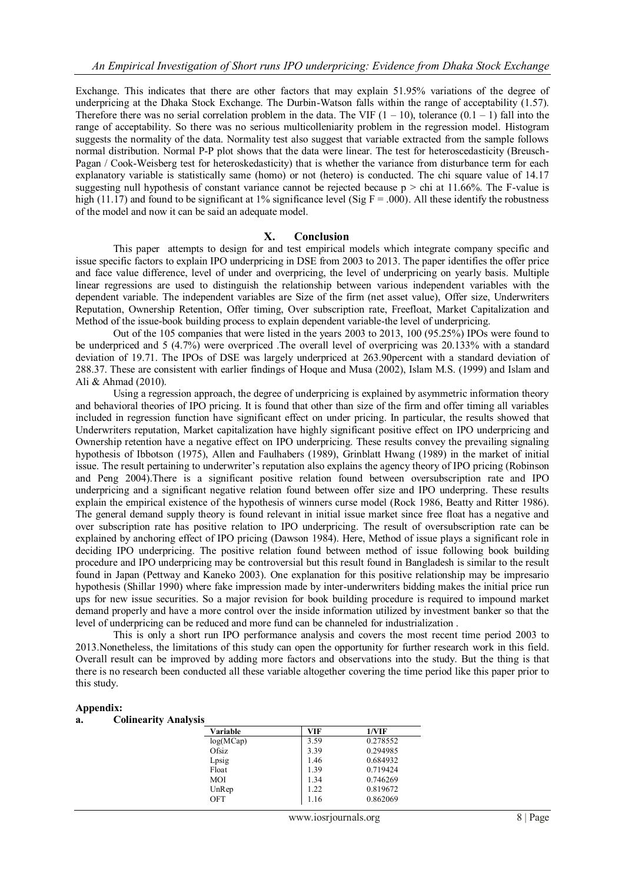Exchange. This indicates that there are other factors that may explain 51.95% variations of the degree of underpricing at the Dhaka Stock Exchange. The Durbin-Watson falls within the range of acceptability (1.57). Therefore there was no serial correlation problem in the data. The VIF  $(1 - 10)$ , tolerance  $(0.1 - 1)$  fall into the range of acceptability. So there was no serious multicolleniarity problem in the regression model. Histogram suggests the normality of the data. Normality test also suggest that variable extracted from the sample follows normal distribution. Normal P-P plot shows that the data were linear. The test for heteroscedasticity (Breusch-Pagan / Cook-Weisberg test for heteroskedasticity) that is whether the variance from disturbance term for each explanatory variable is statistically same (homo) or not (hetero) is conducted. The chi square value of 14.17 suggesting null hypothesis of constant variance cannot be rejected because  $p >$  chi at 11.66%. The F-value is high (11.17) and found to be significant at 1% significance level (Sig  $F = .000$ ). All these identify the robustness of the model and now it can be said an adequate model.

#### **X. Conclusion**

This paper attempts to design for and test empirical models which integrate company specific and issue specific factors to explain IPO underpricing in DSE from 2003 to 2013. The paper identifies the offer price and face value difference, level of under and overpricing, the level of underpricing on yearly basis. Multiple linear regressions are used to distinguish the relationship between various independent variables with the dependent variable. The independent variables are Size of the firm (net asset value), Offer size, Underwriters Reputation, Ownership Retention, Offer timing, Over subscription rate, Freefloat, Market Capitalization and Method of the issue-book building process to explain dependent variable-the level of underpricing.

Out of the 105 companies that were listed in the years 2003 to 2013, 100 (95.25%) IPOs were found to be underpriced and 5 (4.7%) were overpriced .The overall level of overpricing was 20.133% with a standard deviation of 19.71. The IPOs of DSE was largely underpriced at 263.90percent with a standard deviation of 288.37. These are consistent with earlier findings of Hoque and Musa (2002), Islam M.S. (1999) and Islam and Ali & Ahmad (2010).

Using a regression approach, the degree of underpricing is explained by asymmetric information theory and behavioral theories of IPO pricing. It is found that other than size of the firm and offer timing all variables included in regression function have significant effect on under pricing. In particular, the results showed that Underwriters reputation, Market capitalization have highly significant positive effect on IPO underpricing and Ownership retention have a negative effect on IPO underpricing. These results convey the prevailing signaling hypothesis of Ibbotson (1975), Allen and Faulhabers (1989), Grinblatt Hwang (1989) in the market of initial issue. The result pertaining to underwriter's reputation also explains the agency theory of IPO pricing (Robinson and Peng 2004).There is a significant positive relation found between oversubscription rate and IPO underpricing and a significant negative relation found between offer size and IPO underpring. These results explain the empirical existence of the hypothesis of winners curse model (Rock 1986, Beatty and Ritter 1986). The general demand supply theory is found relevant in initial issue market since free float has a negative and over subscription rate has positive relation to IPO underpricing. The result of oversubscription rate can be explained by anchoring effect of IPO pricing (Dawson 1984). Here, Method of issue plays a significant role in deciding IPO underpricing. The positive relation found between method of issue following book building procedure and IPO underpricing may be controversial but this result found in Bangladesh is similar to the result found in Japan (Pettway and Kaneko 2003). One explanation for this positive relationship may be impresario hypothesis (Shillar 1990) where fake impression made by inter-underwriters bidding makes the initial price run ups for new issue securities. So a major revision for book building procedure is required to impound market demand properly and have a more control over the inside information utilized by investment banker so that the level of underpricing can be reduced and more fund can be channeled for industrialization .

This is only a short run IPO performance analysis and covers the most recent time period 2003 to 2013.Nonetheless, the limitations of this study can open the opportunity for further research work in this field. Overall result can be improved by adding more factors and observations into the study. But the thing is that there is no research been conducted all these variable altogether covering the time period like this paper prior to this study.

#### **Appendix:**

#### **a. Colinearity Analysis**

| Variable   | VIF  | 1/VIF    |
|------------|------|----------|
| log(MCap)  | 3.59 | 0.278552 |
| Ofsiz      | 3.39 | 0.294985 |
| Lpsig      | 1.46 | 0.684932 |
| Float      | 1.39 | 0.719424 |
| <b>MOI</b> | 1.34 | 0.746269 |
| UnRep      | 1.22 | 0.819672 |
| OFT        | 1.16 | 0.862069 |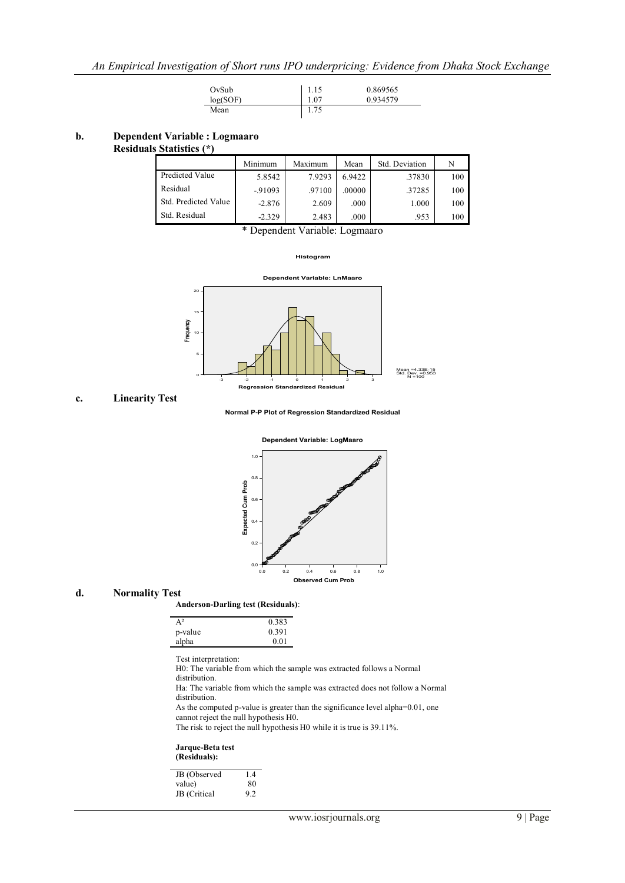| OvSub    | 1.15 | 0.869565 |
|----------|------|----------|
| log(SOF) | 1.07 | 0.934579 |
| Mean     | 1.75 |          |

### **b. Dependent Variable : Logmaaro**

#### **Residuals Statistics (\*)**

|                      | Minimum  | Maximum | Mean   | Std. Deviation | N   |
|----------------------|----------|---------|--------|----------------|-----|
| Predicted Value      | 5.8542   | 7.9293  | 6.9422 | .37830         | 100 |
| Residual             | $-91093$ | .97100  | .00000 | .37285         | 100 |
| Std. Predicted Value | $-2.876$ | 2.609   | .000   | 1.000          | 100 |
| Std. Residual        | $-2.329$ | 2.483   | .000   | .953           | 100 |

\* Dependent Variable: Logmaaro

**Histogram**



#### **c. Linearity Test**

**Normal P-P Plot of Regression Standardized Residual**



#### **d. Normality Test**

#### **Anderson-Darling test (Residuals)**:

| $A^2$   | 0.383 |
|---------|-------|
| p-value | 0.391 |
| alpha   | 0.01  |
|         |       |

Test interpretation:

H0: The variable from which the sample was extracted follows a Normal distribution.

Ha: The variable from which the sample was extracted does not follow a Normal distribution.

As the computed p-value is greater than the significance level alpha=0.01, one cannot reject the null hypothesis H0.

The risk to reject the null hypothesis H0 while it is true is 39.11%.

#### **Jarque-Beta test (Residuals):**

| 14 |
|----|
| 80 |
| 92 |
|    |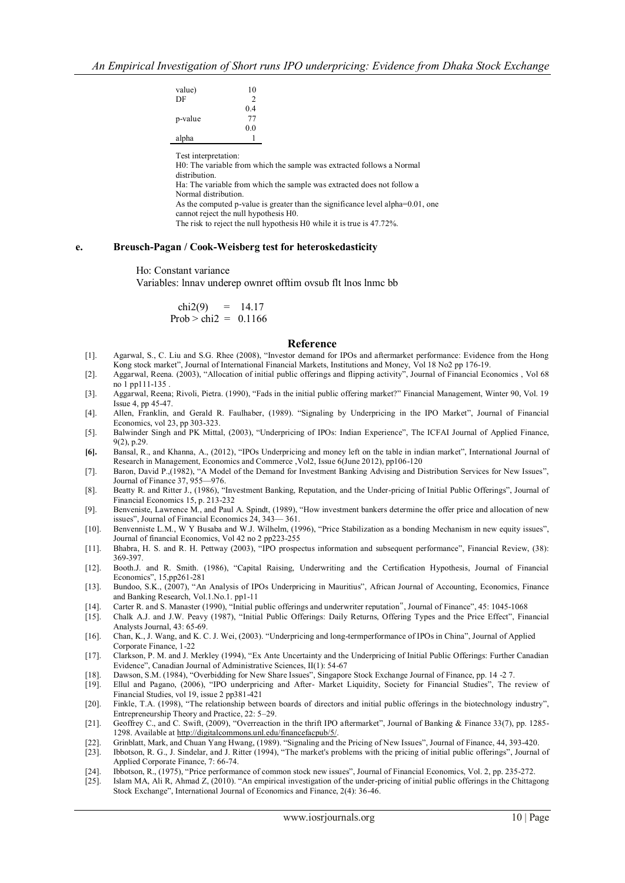| value)<br>DF | 10<br>2   |
|--------------|-----------|
|              | 0.4       |
| p-value      | 77<br>0.0 |
| alpha        |           |

Test interpretation:

H0: The variable from which the sample was extracted follows a Normal distribution. Ha: The variable from which the sample was extracted does not follow a Normal distribution. As the computed p-value is greater than the significance level alpha=0.01, one cannot reject the null hypothesis H0. The risk to reject the null hypothesis H0 while it is true is 47.72%.

#### **e. Breusch-Pagan / Cook-Weisberg test for heteroskedasticity**

Ho: Constant variance

Variables: lnnav underep ownret offtim ovsub flt lnos lnmc bb

chi2(9) =  $14.17$ Prob  $>$  chi2 = 0.1166

#### **Reference**

- [1]. Agarwal, S., C. Liu and S.G. Rhee (2008), "Investor demand for IPOs and aftermarket performance: Evidence from the Hong Kong stock market", Journal of International Financial Markets, Institutions and Money, Vol 18 No2 pp 176-19.
- [2]. Aggarwal, Reena. (2003), "Allocation of initial public offerings and flipping activity", Journal of Financial Economics , Vol 68 no 1 pp111-135 .
- [3]. Aggarwal, Reena; Rivoli, Pietra. (1990), "Fads in the initial public offering market?" Financial Management, Winter 90, Vol. 19 Issue 4, pp 45-47.
- [4]. Allen, Franklin, and Gerald R. Faulhaber, (1989). "Signaling by Underpricing in the IPO Market", Journal of Financial Economics, vol 23, pp 303-323.
- [5]. Balwinder Singh and PK Mittal, (2003), "Underpricing of IPOs: Indian Experience", The ICFAI Journal of Applied Finance, 9(2), p.29.
- [6]. Bansal, R., and Khanna, A., (2012), "IPOs Underpricing and money left on the table in indian market", International Journal of Research in Management, Economics and Commerce ,Vol2, Issue 6(June 2012), pp106-120
- [7]. Baron, David P.,(1982), "A Model of the Demand for Investment Banking Advising and Distribution Services for New Issues", Journal of Finance 37, 955—976.
- [8]. Beatty R. and Ritter J., (1986), "Investment Banking, Reputation, and the Under-pricing of Initial Public Offerings", Journal of Financial Economics 15, p. 213-232
- [9]. Benveniste, Lawrence M., and Paul A. Spindt, (1989), "How investment bankers determine the offer price and allocation of new issues", Journal of Financial Economics 24, 343-361.
- [10]. Benvenniste L.M., W Y Busaba and W.J. Wilhelm, (1996), "Price Stabilization as a bonding Mechanism in new equity issues", Journal of financial Economics, Vol 42 no 2 pp223-255
- [11]. Bhabra, H. S. and R. H. Pettway (2003), "IPO prospectus information and subsequent performance", Financial Review, (38): 369-397.
- [12]. Booth.J. and R. Smith. (1986), "Capital Raising, Underwriting and the Certification Hypothesis, Journal of Financial Economics‖, 15,pp261-281
- [13]. Bundoo, S.K., (2007), "An Analysis of IPOs Underpricing in Mauritius", African Journal of Accounting, Economics, Finance and Banking Research, Vol.1.No.1. pp1-11
- [14]. Carter R. and S. Manaster (1990), "Initial public offerings and underwriter reputation", Journal of Finance", 45: 1045-1068
- [15]. Chalk A.J. and J.W. Peavy (1987), "Initial Public Offerings: Daily Returns, Offering Types and the Price Effect", Financial Analysts Journal, 43: 65-69.
- [16]. Chan, K., J. Wang, and K. C. J. Wei, (2003). "Underpricing and long-termperformance of IPOs in China", Journal of Applied Corporate Finance, 1-22
- [17]. Clarkson, P. M. and J. Merkley (1994), "Ex Ante Uncertainty and the Underpricing of Initial Public Offerings: Further Canadian Evidence", Canadian Journal of Administrative Sciences, II(1): 54-67
- [18]. Dawson, S.M. (1984), "Overbidding for New Share Issues", Singapore Stock Exchange Journal of Finance, pp. 14 -2 7.
- [19]. Ellul and Pagano, (2006), "IPO underpricing and After- Market Liquidity, Society for Financial Studies", The review of Financial Studies, vol 19, issue 2 pp381-421
- [20]. Finkle, T.A. (1998), "The relationship between boards of directors and initial public offerings in the biotechnology industry", Entrepreneurship Theory and Practice, 22: 5–29.
- [21]. Geoffrey C., and C. Swift, (2009), "Overreaction in the thrift IPO aftermarket", Journal of Banking & Finance 33(7), pp. 1285-1298. Available at [http://digitalcommons.unl.edu/financefacpub/5/.](http://digitalcommons.unl.edu/financefacpub/5/)
- [22]. Grinblatt, Mark, and Chuan Yang Hwang, (1989). "Signaling and the Pricing of New Issues", Journal of Finance, 44, 393-420.
- [23]. Ibbotson, R. G., J. Sindelar, and J. Ritter (1994), "The market's problems with the pricing of initial public offerings", Journal of Applied Corporate Finance, 7: 66-74.
- [24]. Ibbotson, R., (1975), "Price performance of common stock new issues", Journal of Financial Economics, Vol. 2, pp. 235-272.<br>[25]. Islam MA, Ali R, Ahmad Z, (2010). "An empirical investigation of the under-pricing of i
- Islam MA, Ali R, Ahmad Z, (2010). "An empirical investigation of the under-pricing of initial public offerings in the Chittagong Stock Exchange", International Journal of Economics and Finance, 2(4): 36-46.